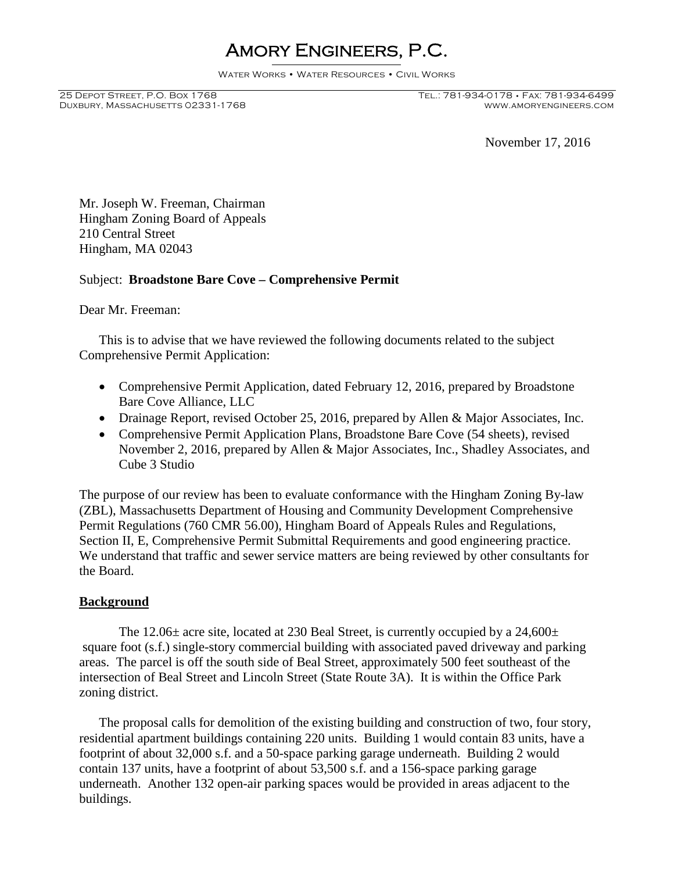# Amory Engineers, P.C.

Water Works • Water Resources • Civil Works

Duxbury, Massachusetts 02331-1768

25 Depot Street, P.O. Box 1768 Tel.: 781-934-0178 • Fax: 781-934-6499

November 17, 2016

Mr. Joseph W. Freeman, Chairman Hingham Zoning Board of Appeals 210 Central Street Hingham, MA 02043

## Subject: **Broadstone Bare Cove – Comprehensive Permit**

Dear Mr. Freeman:

This is to advise that we have reviewed the following documents related to the subject Comprehensive Permit Application:

- Comprehensive Permit Application, dated February 12, 2016, prepared by Broadstone Bare Cove Alliance, LLC
- Drainage Report, revised October 25, 2016, prepared by Allen & Major Associates, Inc.
- Comprehensive Permit Application Plans, Broadstone Bare Cove (54 sheets), revised November 2, 2016, prepared by Allen & Major Associates, Inc., Shadley Associates, and Cube 3 Studio

The purpose of our review has been to evaluate conformance with the Hingham Zoning By-law (ZBL), Massachusetts Department of Housing and Community Development Comprehensive Permit Regulations (760 CMR 56.00), Hingham Board of Appeals Rules and Regulations, Section II, E, Comprehensive Permit Submittal Requirements and good engineering practice. We understand that traffic and sewer service matters are being reviewed by other consultants for the Board.

## **Background**

The 12.06 $\pm$  acre site, located at 230 Beal Street, is currently occupied by a 24,600 $\pm$ square foot (s.f.) single-story commercial building with associated paved driveway and parking areas. The parcel is off the south side of Beal Street, approximately 500 feet southeast of the intersection of Beal Street and Lincoln Street (State Route 3A). It is within the Office Park zoning district.

The proposal calls for demolition of the existing building and construction of two, four story, residential apartment buildings containing 220 units. Building 1 would contain 83 units, have a footprint of about 32,000 s.f. and a 50-space parking garage underneath. Building 2 would contain 137 units, have a footprint of about 53,500 s.f. and a 156-space parking garage underneath. Another 132 open-air parking spaces would be provided in areas adjacent to the buildings.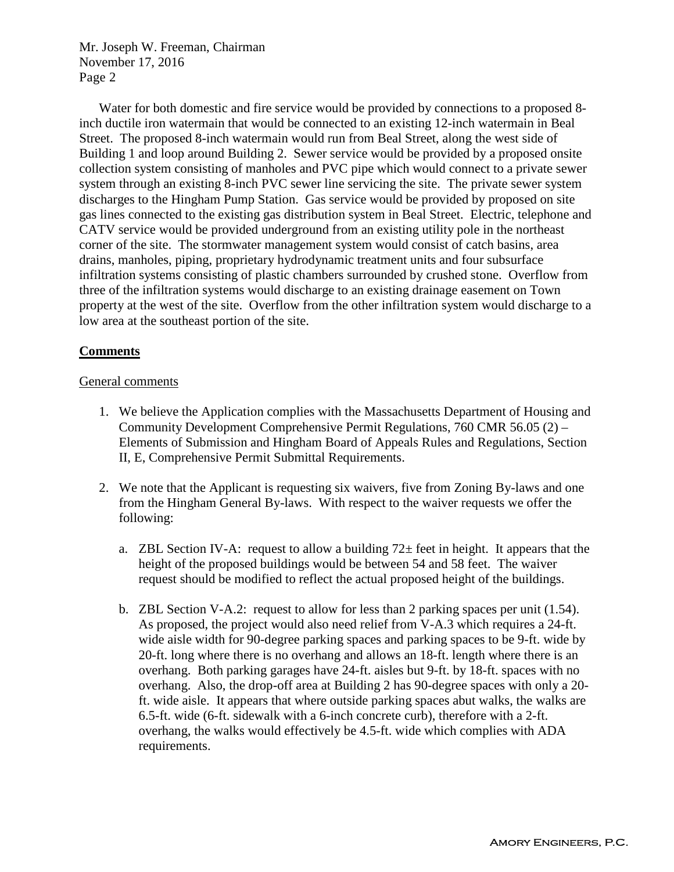Water for both domestic and fire service would be provided by connections to a proposed 8 inch ductile iron watermain that would be connected to an existing 12-inch watermain in Beal Street. The proposed 8-inch watermain would run from Beal Street, along the west side of Building 1 and loop around Building 2. Sewer service would be provided by a proposed onsite collection system consisting of manholes and PVC pipe which would connect to a private sewer system through an existing 8-inch PVC sewer line servicing the site. The private sewer system discharges to the Hingham Pump Station. Gas service would be provided by proposed on site gas lines connected to the existing gas distribution system in Beal Street. Electric, telephone and CATV service would be provided underground from an existing utility pole in the northeast corner of the site. The stormwater management system would consist of catch basins, area drains, manholes, piping, proprietary hydrodynamic treatment units and four subsurface infiltration systems consisting of plastic chambers surrounded by crushed stone. Overflow from three of the infiltration systems would discharge to an existing drainage easement on Town property at the west of the site. Overflow from the other infiltration system would discharge to a low area at the southeast portion of the site.

## **Comments**

## General comments

- 1. We believe the Application complies with the Massachusetts Department of Housing and Community Development Comprehensive Permit Regulations, 760 CMR 56.05 (2) – Elements of Submission and Hingham Board of Appeals Rules and Regulations, Section II, E, Comprehensive Permit Submittal Requirements.
- 2. We note that the Applicant is requesting six waivers, five from Zoning By-laws and one from the Hingham General By-laws. With respect to the waiver requests we offer the following:
	- a. ZBL Section IV-A: request to allow a building  $72\pm$  feet in height. It appears that the height of the proposed buildings would be between 54 and 58 feet. The waiver request should be modified to reflect the actual proposed height of the buildings.
	- b. ZBL Section V-A.2: request to allow for less than 2 parking spaces per unit (1.54). As proposed, the project would also need relief from V-A.3 which requires a 24-ft. wide aisle width for 90-degree parking spaces and parking spaces to be 9-ft. wide by 20-ft. long where there is no overhang and allows an 18-ft. length where there is an overhang. Both parking garages have 24-ft. aisles but 9-ft. by 18-ft. spaces with no overhang. Also, the drop-off area at Building 2 has 90-degree spaces with only a 20 ft. wide aisle. It appears that where outside parking spaces abut walks, the walks are 6.5-ft. wide (6-ft. sidewalk with a 6-inch concrete curb), therefore with a 2-ft. overhang, the walks would effectively be 4.5-ft. wide which complies with ADA requirements.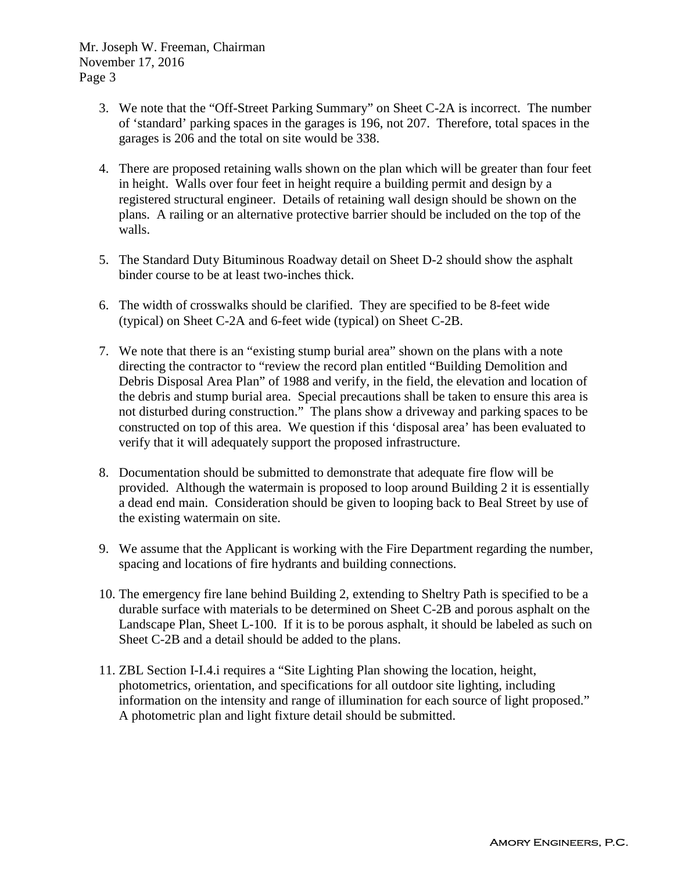- 3. We note that the "Off-Street Parking Summary" on Sheet C-2A is incorrect. The number of 'standard' parking spaces in the garages is 196, not 207. Therefore, total spaces in the garages is 206 and the total on site would be 338.
- 4. There are proposed retaining walls shown on the plan which will be greater than four feet in height. Walls over four feet in height require a building permit and design by a registered structural engineer. Details of retaining wall design should be shown on the plans. A railing or an alternative protective barrier should be included on the top of the walls.
- 5. The Standard Duty Bituminous Roadway detail on Sheet D-2 should show the asphalt binder course to be at least two-inches thick.
- 6. The width of crosswalks should be clarified. They are specified to be 8-feet wide (typical) on Sheet C-2A and 6-feet wide (typical) on Sheet C-2B.
- 7. We note that there is an "existing stump burial area" shown on the plans with a note directing the contractor to "review the record plan entitled "Building Demolition and Debris Disposal Area Plan" of 1988 and verify, in the field, the elevation and location of the debris and stump burial area. Special precautions shall be taken to ensure this area is not disturbed during construction." The plans show a driveway and parking spaces to be constructed on top of this area. We question if this 'disposal area' has been evaluated to verify that it will adequately support the proposed infrastructure.
- 8. Documentation should be submitted to demonstrate that adequate fire flow will be provided. Although the watermain is proposed to loop around Building 2 it is essentially a dead end main. Consideration should be given to looping back to Beal Street by use of the existing watermain on site.
- 9. We assume that the Applicant is working with the Fire Department regarding the number, spacing and locations of fire hydrants and building connections.
- 10. The emergency fire lane behind Building 2, extending to Sheltry Path is specified to be a durable surface with materials to be determined on Sheet C-2B and porous asphalt on the Landscape Plan, Sheet L-100. If it is to be porous asphalt, it should be labeled as such on Sheet C-2B and a detail should be added to the plans.
- 11. ZBL Section I-I.4.i requires a "Site Lighting Plan showing the location, height, photometrics, orientation, and specifications for all outdoor site lighting, including information on the intensity and range of illumination for each source of light proposed." A photometric plan and light fixture detail should be submitted.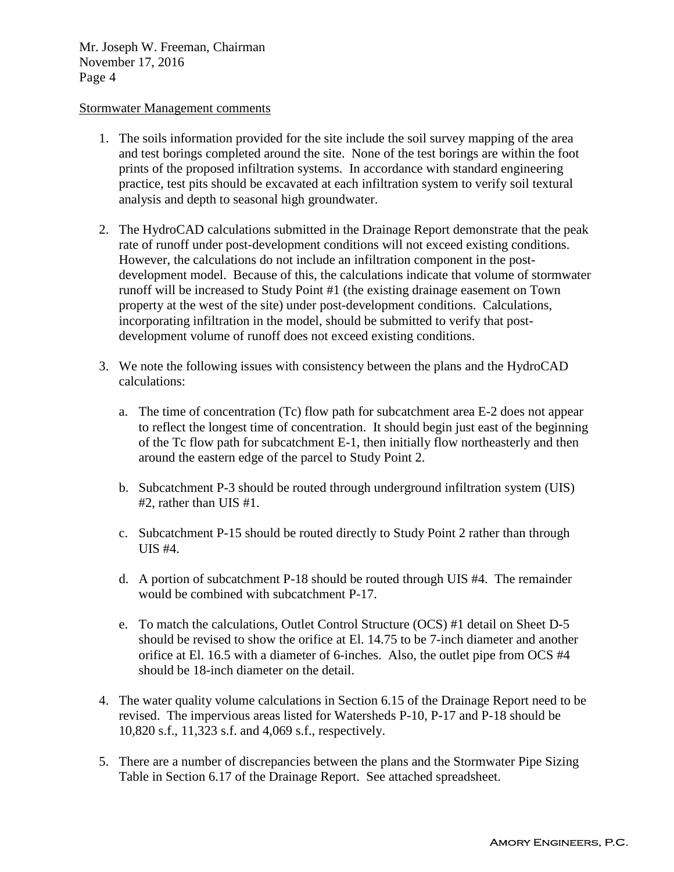## Stormwater Management comments

- 1. The soils information provided for the site include the soil survey mapping of the area and test borings completed around the site. None of the test borings are within the foot prints of the proposed infiltration systems. In accordance with standard engineering practice, test pits should be excavated at each infiltration system to verify soil textural analysis and depth to seasonal high groundwater.
- 2. The HydroCAD calculations submitted in the Drainage Report demonstrate that the peak rate of runoff under post-development conditions will not exceed existing conditions. However, the calculations do not include an infiltration component in the postdevelopment model. Because of this, the calculations indicate that volume of stormwater runoff will be increased to Study Point #1 (the existing drainage easement on Town property at the west of the site) under post-development conditions. Calculations, incorporating infiltration in the model, should be submitted to verify that postdevelopment volume of runoff does not exceed existing conditions.
- 3. We note the following issues with consistency between the plans and the HydroCAD calculations:
	- a. The time of concentration (Tc) flow path for subcatchment area E-2 does not appear to reflect the longest time of concentration. It should begin just east of the beginning of the Tc flow path for subcatchment E-1, then initially flow northeasterly and then around the eastern edge of the parcel to Study Point 2.
	- b. Subcatchment P-3 should be routed through underground infiltration system (UIS) #2, rather than UIS #1.
	- c. Subcatchment P-15 should be routed directly to Study Point 2 rather than through UIS #4.
	- d. A portion of subcatchment P-18 should be routed through UIS #4. The remainder would be combined with subcatchment P-17.
	- e. To match the calculations, Outlet Control Structure (OCS) #1 detail on Sheet D-5 should be revised to show the orifice at El. 14.75 to be 7-inch diameter and another orifice at El. 16.5 with a diameter of 6-inches. Also, the outlet pipe from OCS #4 should be 18-inch diameter on the detail.
- 4. The water quality volume calculations in Section 6.15 of the Drainage Report need to be revised. The impervious areas listed for Watersheds P-10, P-17 and P-18 should be 10,820 s.f., 11,323 s.f. and 4,069 s.f., respectively.
- 5. There are a number of discrepancies between the plans and the Stormwater Pipe Sizing Table in Section 6.17 of the Drainage Report. See attached spreadsheet.